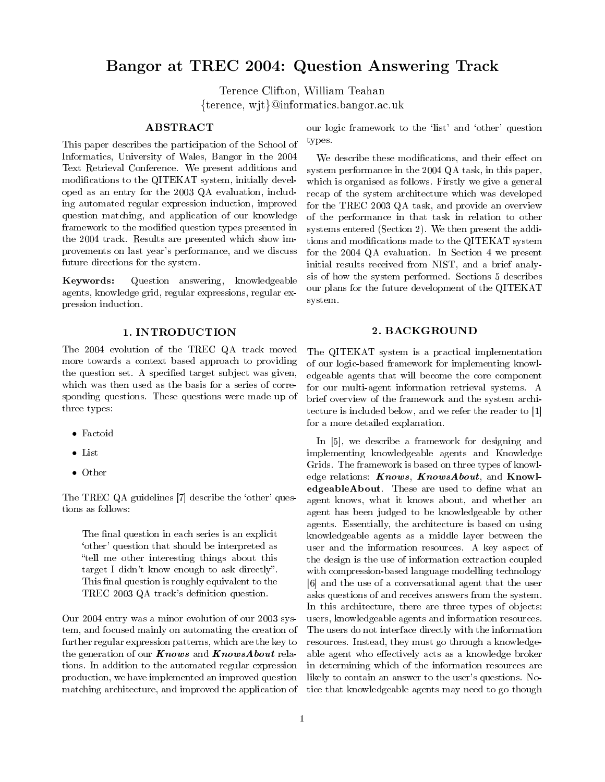# Bangor at TREC 2004: Question Answering Track

Terence Clifton, William Teahan {terence, wjt}@informatics.bangor.ac.uk

## ABSTRACT

This paper describes the participation of the School of Informatics, University of Wales, Bangor in the 2004 Text Retrieval Conference. We present additions and modifications to the QITEKAT system, initially developed as an entry for the 2003 QA evaluation, including automated regular expression induction, improved question matching, and application of our knowledge framework to the modified question types presented in the 2004 track. Results are presented which show improvements on last year's performance, and we discuss future directions for the system.

Keywords: Question answering, knowledgeable agents, knowledge grid, regular expressions, regular expression induction.

## 1. INTRODUCTION

The 2004 evolution of the TREC QA track moved more towards a context based approach to providing the question set. A specified target subject was given, which was then used as the basis for a series of corresponding questions. These questions were made up of three types:

- Factoid
- List
- Other

The TREC QA guidelines [7] describe the `other' questions as follows:

The final question in each series is an explicit `other' question that should be interpreted as tell me other interesting things about this target I didn't know enough to ask directly". This final question is roughly equivalent to the TREC 2003 QA track's definition question.

Our 2004 entry was a minor evolution of our 2003 system, and focused mainly on automating the creation of further regular expression patterns, which are the key to the generation of our **Knows** and **KnowsAbout** relations. In addition to the automated regular expression production, we have implemented an improved question matching architecture, and improved the application of our logic framework to the 'list' and 'other' question types.

We describe these modifications, and their effect on system performance in the 2004 QA task, in this paper, which is organised as follows. Firstly we give a general recap of the system architecture which was developed for the TREC 2003 QA task, and provide an overview of the performance in that task in relation to other systems entered (Section 2). We then present the additions and modifications made to the QITEKAT system for the 2004 QA evaluation. In Section 4 we present initial results received from NIST, and a brief analysis of how the system performed. Sections 5 describes our plans for the future development of the QITEKAT system.

### 2. BACKGROUND

The QITEKAT system is a practical implementation of our logic-based framework for implementing knowledgeable agents that will become the core component for our multi-agent information retrieval systems. A brief overview of the framework and the system architecture is included below, and we refer the reader to [1] for a more detailed explanation.

In [5], we describe a framework for designing and implementing knowledgeable agents and Knowledge Grids. The framework is based on three types of knowledge relations: **Knows**, **KnowsAbout**, and **Knowl**edgeableAbout. These are used to define what an agent knows, what it knows about, and whether an agent has been judged to be knowledgeable by other agents. Essentially, the architecture is based on using knowledgeable agents as a middle layer between the user and the information resources. A key aspect of the design is the use of information extraction coupled with compression-based language modelling technology [6] and the use of a conversational agent that the user asks questions of and receives answers from the system. In this architecture, there are three types of objects: users, knowledgeable agents and information resources. The users do not interface directly with the information resources. Instead, they must go through a knowledgeable agent who effectively acts as a knowledge broker in determining which of the information resources are likely to contain an answer to the user's questions. Notice that knowledgeable agents may need to go though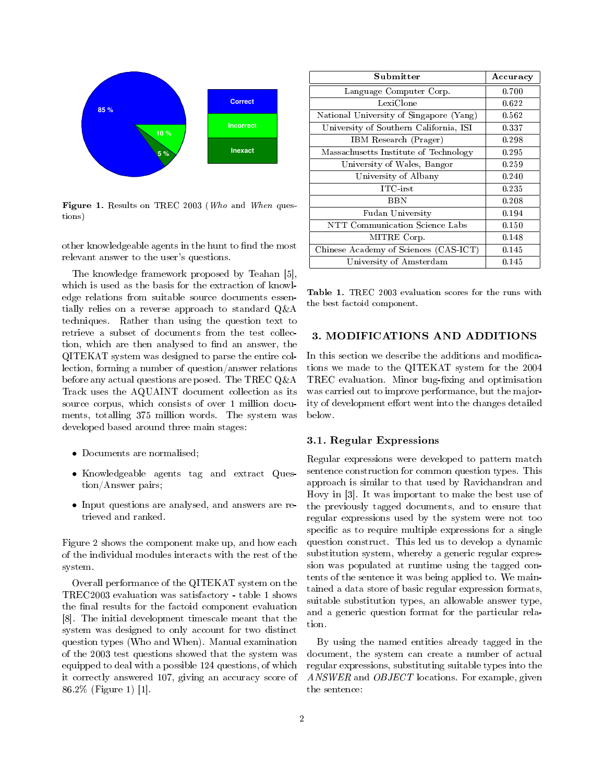

Figure 1. Results on TREC 2003 (Who and When questions)

other knowledgeable agents in the hunt to find the most relevant answer to the user's questions.

The knowledge framework proposed by Teahan [5], which is used as the basis for the extraction of knowledge relations from suitable source documents essentially relies on a reverse approach to standard Q&A techniques. Rather than using the question text to retrieve a subset of documents from the test collection, which are then analysed to find an answer, the QITEKAT system was designed to parse the entire collection, forming a number of question/answer relations before any actual questions are posed. The TREC Q&A Track uses the AQUAINT document collection as its source corpus, which consists of over 1 million documents, totalling 375 million words. The system was developed based around three main stages:

- Documents are normalised;
- Knowledgeable agents tag and extract Question/Answer pairs;
- Input questions are analysed, and answers are retrieved and ranked.

Figure 2 shows the component make up, and how each of the individual modules interacts with the rest of the system.

Overall performance of the QITEKAT system on the TREC2003 evaluation was satisfactory - table 1 shows the final results for the factoid component evaluation [8]. The initial development timescale meant that the system was designed to only account for two distinct question types (Who and When). Manual examination of the 2003 test questions showed that the system was equipped to deal with a possible 124 questions, of which it correctly answered 107, giving an accuracy score of 86.2% (Figure 1) [1].

| Submitter                               | Accuracy |
|-----------------------------------------|----------|
| Language Computer Corp.                 | 0.700    |
| LexiClone                               | 0.622    |
| National University of Singapore (Yang) | 0.562    |
| University of Southern California, ISI  | 0.337    |
| IBM Research (Prager)                   | 0.298    |
| Massachusetts Institute of Technology   | 0.295    |
| University of Wales, Bangor             | 0.259    |
| University of Albany                    | 0.240    |
| $\rm{ITC\text{-}irst}$                  | 0.235    |
| BBN                                     | 0.208    |
| Fudan University                        | 0.194    |
| NTT Communication Science Labs          | 0.150    |
| MITRE Corp.                             | 0.148    |
| Chinese Academy of Sciences (CAS-ICT)   | 0.145    |
| University of Amsterdam                 | 0.145    |

Table 1. TREC 2003 evaluation scores for the runs with the best factoid component.

# 3. MODIFICATIONS AND ADDITIONS

In this section we describe the additions and modifications we made to the QITEKAT system for the 2004 TREC evaluation. Minor bug-fixing and optimisation was carried out to improve performance, but the majority of development effort went into the changes detailed below.

### 3.1. Regular Expressions

Regular expressions were developed to pattern match sentence construction for common question types. This approach is similar to that used by Ravichandran and Hovy in [3]. It was important to make the best use of the previously tagged documents, and to ensure that regular expressions used by the system were not too specific as to require multiple expressions for a single question construct. This led us to develop a dynamic substitution system, whereby a generic regular expression was populated at runtime using the tagged contents of the sentence it was being applied to. We maintained a data store of basic regular expression formats, suitable substitution types, an allowable answer type, and a generic question format for the particular relation.

By using the named entities already tagged in the document, the system can create a number of actual regular expressions, substituting suitable types into the ANSWER and OBJECT locations. For example, given the sentence: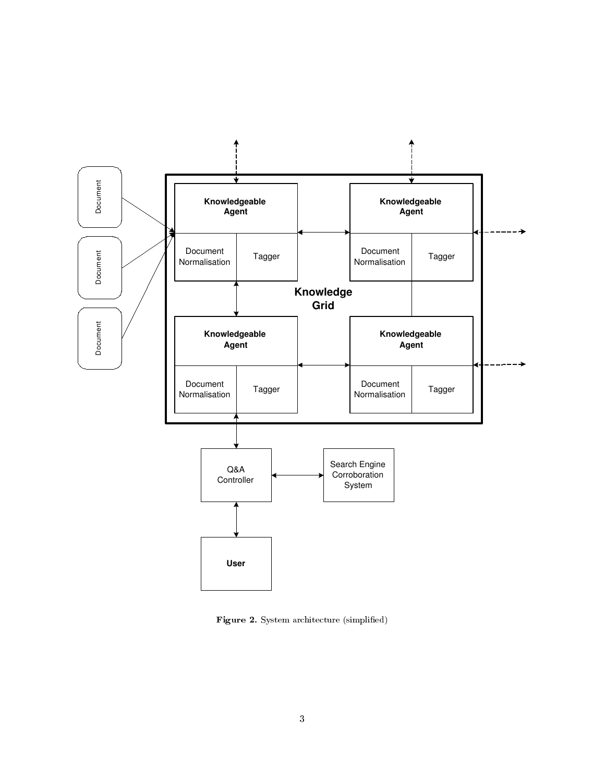

Figure 2. System architecture (simplified)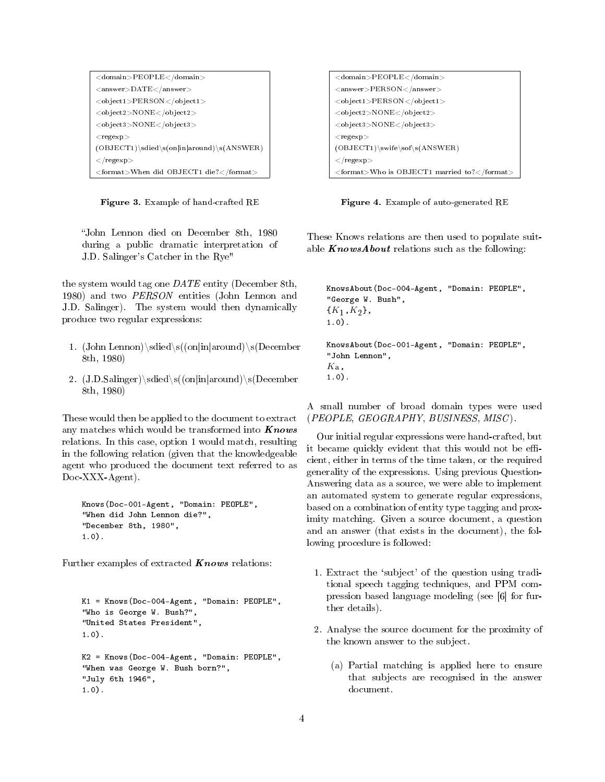| <domain>PEOPLE</domain>                        |
|------------------------------------------------|
| $<$ answer $>$ DATE $<$ /answer $>$            |
| <object1>PERSON</object1>                      |
| $<$ object $2$ >NONE $<$ /object $2$ >         |
| <object3>NONE</object3>                        |
| $<$ regexp $>$                                 |
| $(OBJECT1) \sdied \s(on in around) \s(ANSWER)$ |
| $\langle$ /regexp $>$                          |
| <format>When did OBJECT1 die?</format>         |

Figure 3. Example of hand-crafted RE

John Lennon died on December 8th, 1980 during a public dramatic interpretation of J.D. Salinger's Catcher in the Rye"

the system would tag one  $\mathit{DATE}$  entity (December 8th, 1980) and two PERSON entities (John Lennon and J.D. Salinger). The system would then dynamically produce two regular expressions:

- 1. (John Lennon)\sdied\s((on|in|around)\s(December 8th, 1980)
- 2.  $(J.D.Salinger)\sdied\s((on|in|around)\s(December$ 8th, 1980)

These would then be applied to the document to extract any matches which would be transformed into  $Knows$ relations. In this case, option 1 would match, resulting in the following relation (given that the knowledgeable agent who produced the document text referred to as Doc-XXX-Agent).

```
Knows(Doc-001-Agent, "Domain: PEOPLE",
"When did John Lennon die?",
"December 8th, 1980",
1.0).
```
Further examples of extracted  $Knows$  relations:

```
K1 = Knows(Doc-004-Agent, "Domain: PEOPLE",
"Who is George W. Bush?",
"United States President",
1.0).
K2 = Knows(Doc-004-Agent, "Domain: PEOPLE",
"When was George W. Bush born?",
"July 6th 1946",
1.0).
```

| <domain>PEOPLE</domain>                                                           |
|-----------------------------------------------------------------------------------|
| $<$ answer>PERSON $<$ /answer>                                                    |
| <object1>PERSON</object1>                                                         |
| $<$ object $2$ >NONE $<$ /object $2$ >                                            |
| $<$ object3>NONE $<$ /object3>                                                    |
| $<$ regexp $>$                                                                    |
| $(OBJECT1) \$ swife \ sof \ s( A NSWER)                                           |
| $\langle$ /regexp $>$                                                             |
| $\langle$ format $\rangle$ Who is OBJECT1 married to? $\langle$ /format $\rangle$ |

Figure 4. Example of auto-generated RE

These Knows relations are then used to populate suitable  $KnowsAbout$  relations such as the following:

```
KnowsAbout(Doc-004-Agent, "Domain: PEOPLE",
"George W. Bush",
\{K_1,K_2\},\1.0).
KnowsAbout(Doc-001-Agent, "Domain: PEOPLE",
"John Lennon",
K_{\mathbf{a}},
1.0).
```
A small number of broad domain types were used (PEOPLE, GEOGRAPHY, BUSINESS, MISC ).

Our initial regular expressions were hand-crafted, but it became quickly evident that this would not be efficient, either in terms of the time taken, or the required generality of the expressions. Using previous Question-Answering data as a source, we were able to implement an automated system to generate regular expressions, based on a combination of entity type tagging and proximity matching. Given a source document, a question and an answer (that exists in the document), the following procedure is followed:

- 1. Extract the `subject' of the question using traditional speech tagging techniques, and PPM compression based language modeling (see [6] for further details).
- 2. Analyse the source document for the proximity of the known answer to the subject.
	- (a) Partial matching is applied here to ensure that subjects are recognised in the answer document.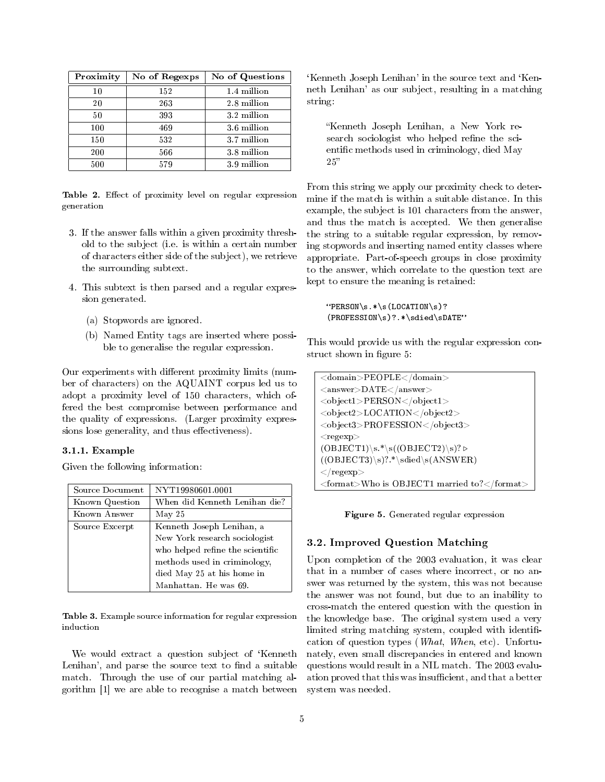| Proximity | No of Regexps | No of Questions |
|-----------|---------------|-----------------|
| 10        | 152           | 1.4 million     |
| 20        | 263           | 2.8 million     |
| 50        | 393           | 3.2 million     |
| 100       | 469           | 3.6 million     |
| 150       | 532           | 3.7 million     |
| 200       | 566           | 3.8 million     |
| 500       | 579           | 3.9 million     |

Table 2. Effect of proximity level on regular expression generation

- 3. If the answer falls within a given proximity threshold to the subject (i.e. is within a certain number of characters either side of the subject), we retrieve the surrounding subtext.
- 4. This subtext is then parsed and a regular expression generated.
	- (a) Stopwords are ignored.
	- (b) Named Entity tags are inserted where possible to generalise the regular expression.

Our experiments with different proximity limits (number of characters) on the AQUAINT corpus led us to adopt a proximity level of 150 characters, which offered the best compromise between performance and the quality of expressions. (Larger proximity expressions lose generality, and thus effectiveness).

### 3.1.1. Example

Given the following information:

| Source Document | NYT19980601.0001                 |
|-----------------|----------------------------------|
| Known Question  | When did Kenneth Lenihan die?    |
| Known Answer    | May 25                           |
| Source Excerpt  | Kenneth Joseph Lenihan, a        |
|                 | New York research sociologist    |
|                 | who helped refine the scientific |
|                 | methods used in criminology,     |
|                 | died May 25 at his home in       |
|                 | Manhattan. He was 69.            |

Table 3. Example source information for regular expression induction

We would extract a question subject of 'Kenneth Lenihan', and parse the source text to find a suitable match. Through the use of our partial matching algorithm [1] we are able to recognise a match between

'Kenneth Joseph Lenihan' in the source text and 'Kenneth Lenihan' as our subject, resulting in a matching string:

Kenneth Joseph Lenihan, a New York research sociologist who helped refine the scientific methods used in criminology, died May  $25"$ 

From this string we apply our proximity check to determine if the match is within a suitable distance. In this example, the subject is 101 characters from the answer, and thus the match is accepted. We then generalise the string to a suitable regular expression, by removing stopwords and inserting named entity classes where appropriate. Part-of-speech groups in close proximity to the answer, which correlate to the question text are kept to ensure the meaning is retained:

 $"PERSON\s.*\s(LOCATION\s)?$ (PROFESSION\s)?.\*\sdied\sDATE

This would provide us with the regular expression construct shown in figure 5:

| <domain>PEOPLE</domain>                     |
|---------------------------------------------|
| $<$ answer $>$ DATE $<$ /answer $>$         |
| <object1>PERSON</object1>                   |
| <object2>LOCATION</object2>                 |
| <object3>PROFESSION</object3>               |
| $<$ regexp $>$                              |
| $(OBIECT1)\s$ * \s( $(OBIECT2)\s$ )? \      |
| $((OBJECT3)\s)$ ?.*\sdied\s(ANSWER)         |
| $\langle$ regexp $>$                        |
| <format>Who is OBJECT1 married to?</format> |

Figure 5. Generated regular expression

# 3.2. Improved Question Matching

Upon completion of the 2003 evaluation, it was clear that in a number of cases where incorrect, or no answer was returned by the system, this was not because the answer was not found, but due to an inability to cross-match the entered question with the question in the knowledge base. The original system used a very limited string matching system, coupled with identification of question types (What, When, etc). Unfortunately, even small discrepancies in entered and known questions would result in a NIL match. The 2003 evaluation proved that this was insufficient, and that a better system was needed.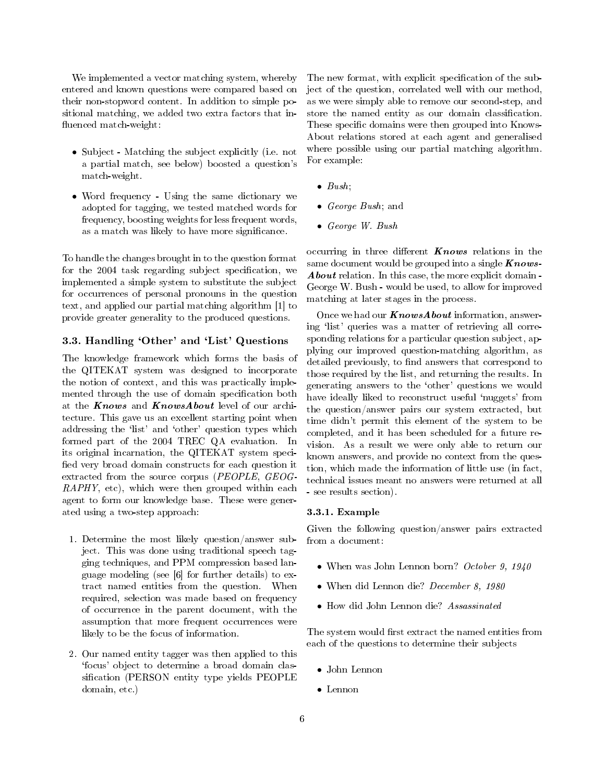We implemented a vector matching system, whereby entered and known questions were compared based on their non-stopword content. In addition to simple positional matching, we added two extra factors that in fluenced match-weight:

- Subject Matching the subject explicitly (i.e. not a partial match, see below) boosted a question's match-weight.
- Word frequency Using the same dictionary we adopted for tagging, we tested matched words for frequency, boosting weights for less frequent words, as a match was likely to have more signicance.

To handle the changes brought in to the question format for the 2004 task regarding subject specification, we implemented a simple system to substitute the subject for occurrences of personal pronouns in the question text, and applied our partial matching algorithm [1] to provide greater generality to the produced questions.

## 3.3. Handling `Other' and `List' Questions

The knowledge framework which forms the basis of the QITEKAT system was designed to incorporate the notion of context, and this was practically implemented through the use of domain specification both at the Knows and KnowsAbout level of our architecture. This gave us an excellent starting point when addressing the 'list' and 'other' question types which formed part of the 2004 TREC QA evaluation. In its original incarnation, the QITEKAT system speci fied very broad domain constructs for each question it extracted from the source corpus (PEOPLE, GEOG-RAPHY, etc), which were then grouped within each agent to form our knowledge base. These were generated using a two-step approach:

- 1. Determine the most likely question/answer subject. This was done using traditional speech tagging techniques, and PPM compression based language modeling (see [6] for further details) to extract named entities from the question. When required, selection was made based on frequency of occurrence in the parent document, with the assumption that more frequent occurrences were likely to be the focus of information.
- 2. Our named entity tagger was then applied to this `focus' object to determine a broad domain classification (PERSON entity type yields PEOPLE domain, etc.)

The new format, with explicit specification of the subject of the question, correlated well with our method, as we were simply able to remove our second-step, and store the named entity as our domain classification. These specific domains were then grouped into Knows-About relations stored at each agent and generalised where possible using our partial matching algorithm. For example:

- $\bullet$  Bush;
- *George Bush*; and
- George W. Bush

occurring in three different  $Knows$  relations in the same document would be grouped into a single  $Knows$ -About relation. In this case, the more explicit domain -George W. Bush - would be used, to allow for improved matching at later stages in the process.

Once we had our  $KnowsAbout$  information, answering 'list' queries was a matter of retrieving all corresponding relations for a particular question subject, applying our improved question-matching algorithm, as detailed previously, to find answers that correspond to those required by the list, and returning the results. In generating answers to the `other' questions we would have ideally liked to reconstruct useful 'nuggets' from the question/answer pairs our system extracted, but time didn't permit this element of the system to be completed, and it has been scheduled for a future revision. As a result we were only able to return our known answers, and provide no context from the question, which made the information of little use (in fact, technical issues meant no answers were returned at all - see results section).

#### 3.3.1. Example

Given the following question/answer pairs extracted from a document:

- When was John Lennon born? October 9, 1940
- When did Lennon die? December 8, 1980
- How did John Lennon die? Assassinated

The system would first extract the named entities from each of the questions to determine their subjects

- John Lennon
- Lennon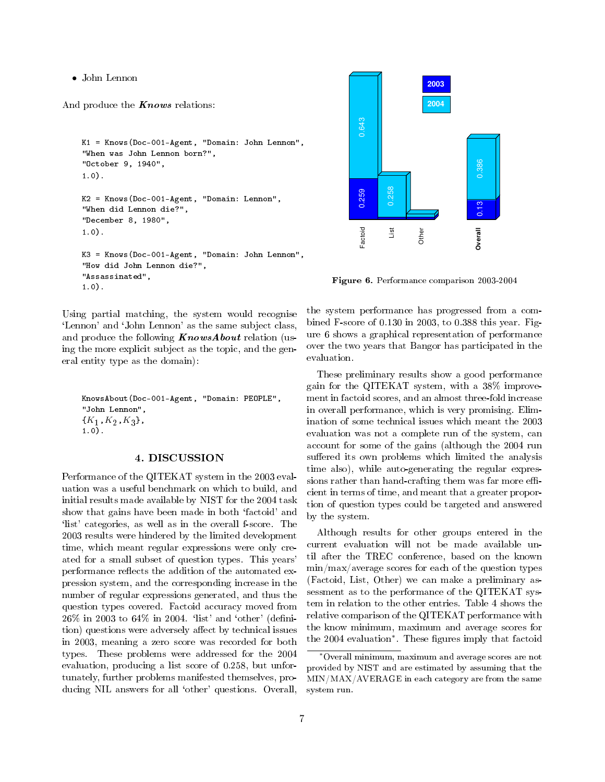• John Lennon

And produce the  $Knows$  relations:

```
K1 = Knows(Doc-001-Agent, "Domain: John Lennon",
"When was John Lennon born?",
"October 9, 1940",
1.0).
K2 = Knows(Doc-001-Agent, "Domain: Lennon",
"When did Lennon die?",
"December 8, 1980",
1.0).
K3 = Knows(Doc-001-Agent, "Domain: John Lennon",
"How did John Lennon die?",
"Assassinated",
1.0).
```
Using partial matching, the system would recognise `Lennon' and `John Lennon' as the same subject class, and produce the following  $KnowsAbout$  relation (using the more explicit subject as the topic, and the general entity type as the domain):

```
KnowsAbout(Doc-001-Agent, "Domain: PEOPLE",
"John Lennon",
\{K_1,K_2,K_3\},
1.0).
```
### 4. DISCUSSION

Performance of the QITEKAT system in the 2003 evaluation was a useful benchmark on which to build, and initial results made available by NIST for the 2004 task show that gains have been made in both `factoid' and 'list' categories, as well as in the overall f-score. The 2003 results were hindered by the limited development time, which meant regular expressions were only created for a small subset of question types. This years' performance reflects the addition of the automated expression system, and the corresponding increase in the number of regular expressions generated, and thus the question types covered. Factoid accuracy moved from  $26\%$  in 2003 to  $64\%$  in 2004. 'list' and 'other' (definition) questions were adversely affect by technical issues in 2003, meaning a zero score was recorded for both types. These problems were addressed for the 2004 evaluation, producing a list score of 0.258, but unfortunately, further problems manifested themselves, producing NIL answers for all 'other' questions. Overall,



Figure 6. Performance comparison 2003-2004

the system performance has progressed from a combined F-score of 0.130 in 2003, to 0.388 this year. Figure 6 shows a graphical representation of performance over the two years that Bangor has participated in the evaluation.

These preliminary results show a good performance gain for the QITEKAT system, with a 38% improvement in factoid scores, and an almost three-fold increase in overall performance, which is very promising. Elimination of some technical issues which meant the 2003 evaluation was not a complete run of the system, can account for some of the gains (although the 2004 run suffered its own problems which limited the analysis time also), while auto-generating the regular expressions rather than hand-crafting them was far more efficient in terms of time, and meant that a greater proportion of question types could be targeted and answered by the system.

Although results for other groups entered in the current evaluation will not be made available until after the TREC conference, based on the known min/max/average scores for each of the question types (Factoid, List, Other) we can make a preliminary assessment as to the performance of the QITEKAT system in relation to the other entries. Table 4 shows the relative comparison of the QITEKAT performance with the know minimum, maximum and average scores for the 2004 evaluation<sup>\*</sup>. These figures imply that factoid

<sup>∗</sup>Overall minimum, maximum and average scores are not provided by NIST and are estimated by assuming that the MIN/MAX/AVERAGE in each category are from the same system run.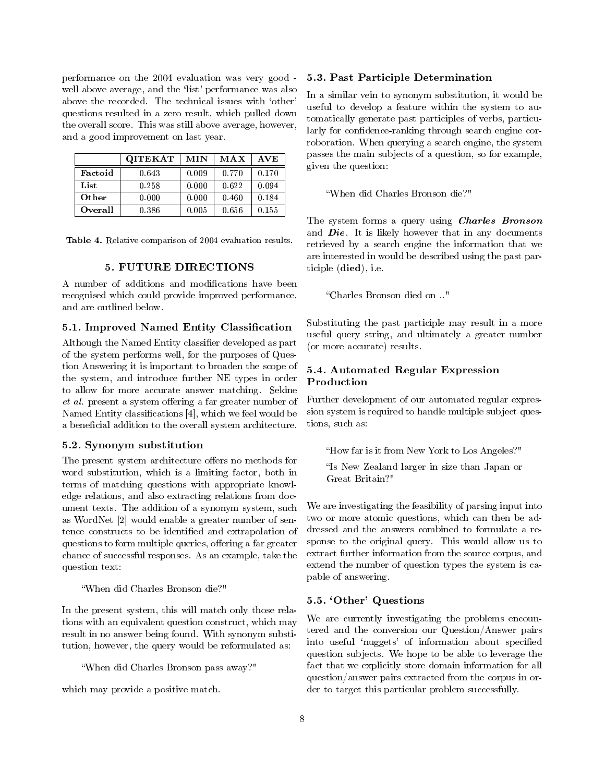performance on the 2004 evaluation was very good well above average, and the 'list' performance was also above the recorded. The technical issues with `other' questions resulted in a zero result, which pulled down the overall score. This was still above average, however, and a good improvement on last year.

|                 | <b>QITEKAT</b> | MIN   | <b>MAX</b> | AVE   |
|-----------------|----------------|-------|------------|-------|
| Factoid         | 0.643          | 0.009 | 0.770      | 0.170 |
| List            | 0.258          | 0.000 | 0.622      | 0.094 |
| Other           | 0.000          | 0.000 | 0.460      | 0.184 |
| <b>O</b> verall | 0.386          | 0.005 | 0.656      | 0.155 |

Table 4. Relative comparison of 2004 evaluation results.

### 5. FUTURE DIRECTIONS

A number of additions and modifications have been recognised which could provide improved performance, and are outlined below.

# 5.1. Improved Named Entity Classification

Although the Named Entity classifier developed as part of the system performs well, for the purposes of Question Answering it is important to broaden the scope of the system, and introduce further NE types in order to allow for more accurate answer matching. Sekine  $et \ al.$  present a system offering a far greater number of Named Entity classifications  $[4]$ , which we feel would be a beneficial addition to the overall system architecture.

# 5.2. Synonym substitution

The present system architecture offers no methods for word substitution, which is a limiting factor, both in terms of matching questions with appropriate knowledge relations, and also extracting relations from document texts. The addition of a synonym system, such as WordNet [2] would enable a greater number of sentence constructs to be identified and extrapolation of questions to form multiple queries, offering a far greater chance of successful responses. As an example, take the question text:

When did Charles Bronson die?"

In the present system, this will match only those relations with an equivalent question construct, which may result in no answer being found. With synonym substitution, however, the query would be reformulated as:

When did Charles Bronson pass away?"

which may provide a positive match.

#### 5.3. Past Participle Determination

In a similar vein to synonym substitution, it would be useful to develop a feature within the system to automatically generate past participles of verbs, particularly for confidence-ranking through search engine corroboration. When querying a search engine, the system passes the main subjects of a question, so for example, given the question:

When did Charles Bronson die?"

The system forms a query using Charles Bronson and  $\textit{Die}$ . It is likely however that in any documents retrieved by a search engine the information that we are interested in would be described using the past participle (died), i.e.

Charles Bronson died on .."

Substituting the past participle may result in a more useful query string, and ultimately a greater number (or more accurate) results.

# 5.4. Automated Regular Expression Production

Further development of our automated regular expression system is required to handle multiple subject questions, such as:

How far is it from New York to Los Angeles?"

"Is New Zealand larger in size than Japan or Great Britain?"

We are investigating the feasibility of parsing input into two or more atomic questions, which can then be addressed and the answers combined to formulate a response to the original query. This would allow us to extract further information from the source corpus, and extend the number of question types the system is capable of answering.

### 5.5. `Other' Questions

We are currently investigating the problems encountered and the conversion our Question/Answer pairs into useful 'nuggets' of information about specified question subjects. We hope to be able to leverage the fact that we explicitly store domain information for all question/answer pairs extracted from the corpus in order to target this particular problem successfully.